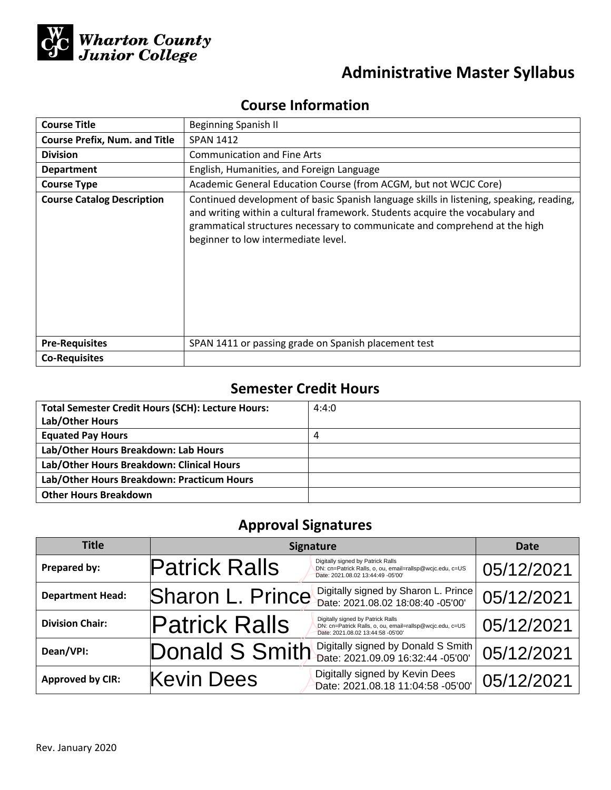

# **Administrative Master Syllabus**

# **Course Information**

| <b>Course Title</b>                  | <b>Beginning Spanish II</b>                                                                                                                                                                                                                                                                  |  |  |
|--------------------------------------|----------------------------------------------------------------------------------------------------------------------------------------------------------------------------------------------------------------------------------------------------------------------------------------------|--|--|
| <b>Course Prefix, Num. and Title</b> | <b>SPAN 1412</b>                                                                                                                                                                                                                                                                             |  |  |
| <b>Division</b>                      | <b>Communication and Fine Arts</b>                                                                                                                                                                                                                                                           |  |  |
| <b>Department</b>                    | English, Humanities, and Foreign Language                                                                                                                                                                                                                                                    |  |  |
| <b>Course Type</b>                   | Academic General Education Course (from ACGM, but not WCJC Core)                                                                                                                                                                                                                             |  |  |
| <b>Course Catalog Description</b>    | Continued development of basic Spanish language skills in listening, speaking, reading,<br>and writing within a cultural framework. Students acquire the vocabulary and<br>grammatical structures necessary to communicate and comprehend at the high<br>beginner to low intermediate level. |  |  |
| <b>Pre-Requisites</b>                | SPAN 1411 or passing grade on Spanish placement test                                                                                                                                                                                                                                         |  |  |
| <b>Co-Requisites</b>                 |                                                                                                                                                                                                                                                                                              |  |  |

# **Semester Credit Hours**

| <b>Total Semester Credit Hours (SCH): Lecture Hours:</b> | 4:4:0 |
|----------------------------------------------------------|-------|
| Lab/Other Hours                                          |       |
| <b>Equated Pay Hours</b>                                 | 4     |
| Lab/Other Hours Breakdown: Lab Hours                     |       |
| Lab/Other Hours Breakdown: Clinical Hours                |       |
| Lab/Other Hours Breakdown: Practicum Hours               |       |
| <b>Other Hours Breakdown</b>                             |       |

# **Approval Signatures**

| <b>Title</b>            | <b>Signature</b>                                                                                                                                           | Date       |
|-------------------------|------------------------------------------------------------------------------------------------------------------------------------------------------------|------------|
| Prepared by:            | Digitally signed by Patrick Ralls<br><b>Patrick Ralls</b><br>DN: cn=Patrick Ralls, o, ou, email=rallsp@wcjc.edu, c=US<br>Date: 2021.08.02 13:44:49 -05'00' | 05/12/2021 |
| <b>Department Head:</b> | Digitally signed by Sharon L. Prince<br>Sharon L. Prince<br>Date: 2021.08.02 18.08.40 -05'00'                                                              | 05/12/2021 |
| <b>Division Chair:</b>  | <b>Patrick Ralls</b><br>Digitally signed by Patrick Ralls<br>DN: cn=Patrick Ralls, o, ou, email=rallsp@wcjc.edu, c=US<br>Date: 2021.08.02 13:44:58 -05'00' | 05/12/2021 |
| Dean/VPI:               | Digitally signed by Donald S Smith<br>Donald S Smith<br>Date: 2021.09.09 16:32:44 -05'00'                                                                  | 05/12/2021 |
| <b>Approved by CIR:</b> | Digitally signed by Kevin Dees<br><b>Kevin Dees</b><br>Date: 2021.08.18 11:04:58 -05'00'                                                                   | 05/12/2021 |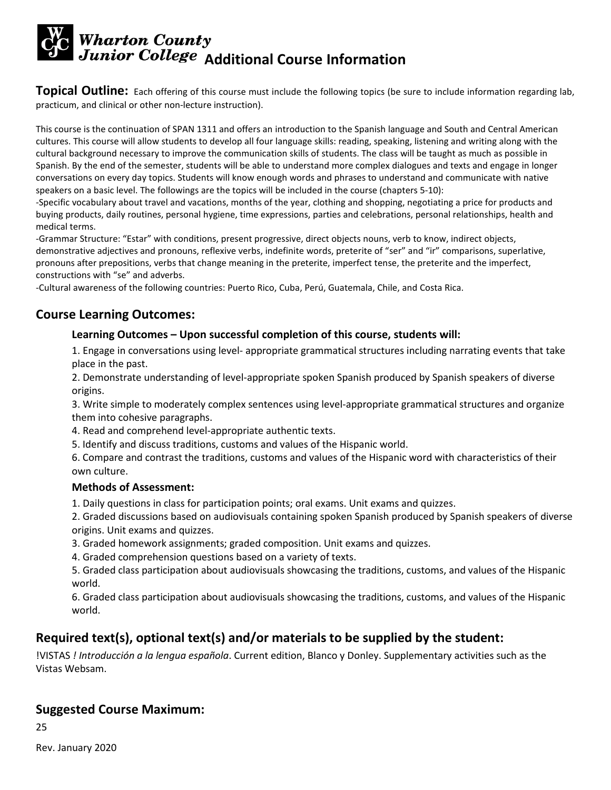# **Wharton County<br>Junior College Additional Course Information**

**Topical Outline:** Each offering of this course must include the following topics (be sure to include information regarding lab, practicum, and clinical or other non-lecture instruction).

This course is the continuation of SPAN 1311 and offers an introduction to the Spanish language and South and Central American cultures. This course will allow students to develop all four language skills: reading, speaking, listening and writing along with the cultural background necessary to improve the communication skills of students. The class will be taught as much as possible in Spanish. By the end of the semester, students will be able to understand more complex dialogues and texts and engage in longer conversations on every day topics. Students will know enough words and phrases to understand and communicate with native speakers on a basic level. The followings are the topics will be included in the course (chapters 5-10):

-Specific vocabulary about travel and vacations, months of the year, clothing and shopping, negotiating a price for products and buying products, daily routines, personal hygiene, time expressions, parties and celebrations, personal relationships, health and medical terms.

-Grammar Structure: "Estar" with conditions, present progressive, direct objects nouns, verb to know, indirect objects, demonstrative adjectives and pronouns, reflexive verbs, indefinite words, preterite of "ser" and "ir" comparisons, superlative, pronouns after prepositions, verbs that change meaning in the preterite, imperfect tense, the preterite and the imperfect, constructions with "se" and adverbs.

-Cultural awareness of the following countries: Puerto Rico, Cuba, Perú, Guatemala, Chile, and Costa Rica.

## **Course Learning Outcomes:**

#### **Learning Outcomes – Upon successful completion of this course, students will:**

1. Engage in conversations using level- appropriate grammatical structures including narrating events that take place in the past.

2. Demonstrate understanding of level-appropriate spoken Spanish produced by Spanish speakers of diverse origins.

3. Write simple to moderately complex sentences using level-appropriate grammatical structures and organize them into cohesive paragraphs.

- 4. Read and comprehend level-appropriate authentic texts.
- 5. Identify and discuss traditions, customs and values of the Hispanic world.

6. Compare and contrast the traditions, customs and values of the Hispanic word with characteristics of their own culture.

#### **Methods of Assessment:**

1. Daily questions in class for participation points; oral exams. Unit exams and quizzes.

2. Graded discussions based on audiovisuals containing spoken Spanish produced by Spanish speakers of diverse origins. Unit exams and quizzes.

- 3. Graded homework assignments; graded composition. Unit exams and quizzes.
- 4. Graded comprehension questions based on a variety of texts.

5. Graded class participation about audiovisuals showcasing the traditions, customs, and values of the Hispanic world.

6. Graded class participation about audiovisuals showcasing the traditions, customs, and values of the Hispanic world.

# **Required text(s), optional text(s) and/or materials to be supplied by the student:**

!VISTAS *! Introducción a la lengua española*. Current edition, Blanco y Donley. Supplementary activities such as the Vistas Websam.

## **Suggested Course Maximum:**

25